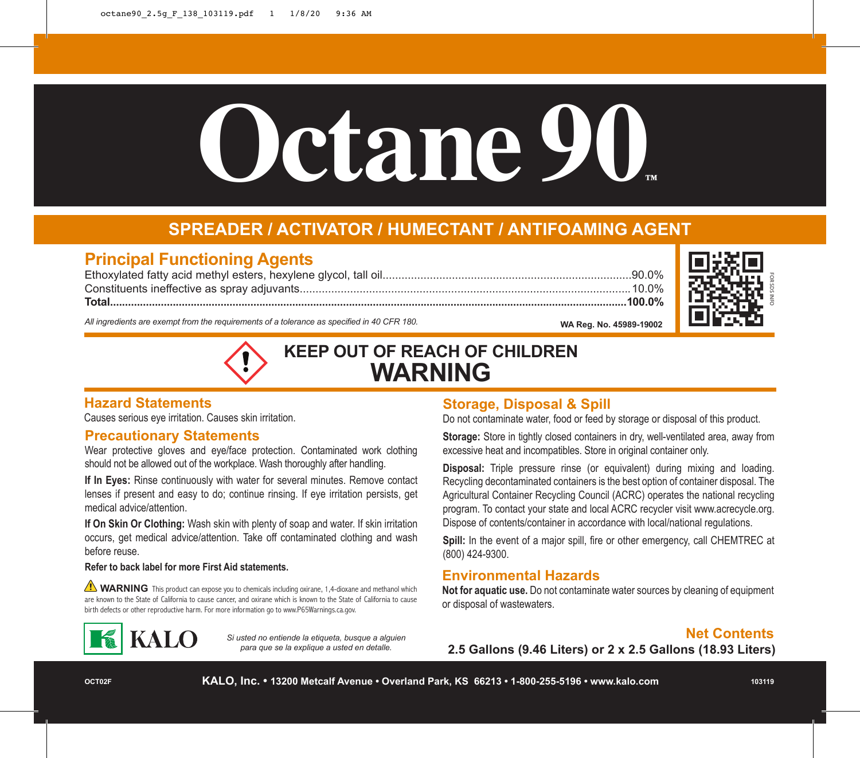# **Octane 90™**

## **SPREADER / ACTIVATOR / HUMECTANT / ANTIFOAMING AGENT**

### **Principal Functioning Agents**

Ethoxylated fatty acid methyl esters, hexylene glycol, tall oil...............................................................................90.0% Constituents ineffective as spray adjuvants.........................................................................................................10.0% **Total.............................................................................................................................................................................100.0% WA Reg. No. 45989-19002**



*All ingredients are exempt from the requirements of a tolerance as specified in 40 CFR 180.*



#### **Hazard Statements**

Causes serious eye irritation. Causes skin irritation.

#### **Precautionary Statements**

Wear protective gloves and eye/face protection. Contaminated work clothing should not be allowed out of the workplace. Wash thoroughly after handling.

**If In Eyes:** Rinse continuously with water for several minutes. Remove contact lenses if present and easy to do; continue rinsing. If eye irritation persists, get medical advice/attention.

**If On Skin Or Clothing:** Wash skin with plenty of soap and water. If skin irritation occurs, get medical advice/attention. Take off contaminated clothing and wash before reuse.

#### **Refer to back label for more First Aid statements.**

**WARNING** This product can expose you to chemicals including oxirane, 1,4-dioxane and methanol which are known to the State of California to cause cancer, and oxirane which is known to the State of California to cause birth defects or other reproductive harm. For more information go to www.P65Warnings.ca.gov.



*Si usted no entiende la etiqueta, busque a alguien para que se la explique a usted en detalle.*

#### **Storage, Disposal & Spill**

Do not contaminate water, food or feed by storage or disposal of this product.

**Storage:** Store in tightly closed containers in dry, well-ventilated area, away from excessive heat and incompatibles. Store in original container only.

**Disposal:** Triple pressure rinse (or equivalent) during mixing and loading. Recycling decontaminated containers is the best option of container disposal. The Agricultural Container Recycling Council (ACRC) operates the national recycling program. To contact your state and local ACRC recycler visit www.acrecycle.org. Dispose of contents/container in accordance with local/national regulations.

**Spill:** In the event of a major spill, fire or other emergency, call CHEMTREC at (800) 424-9300.

#### **Environmental Hazards**

**Not for aquatic use.** Do not contaminate water sources by cleaning of equipment or disposal of wastewaters.

#### **Net Contents**

**2.5 Gallons (9.46 Liters) or 2 x 2.5 Gallons (18.93 Liters)**

**OCT02F**

**KALO, Inc. • 13200 Metcalf Avenue • Overland Park, KS 66213 • 1-800-255-5196 • www.kalo.com**

**103119**